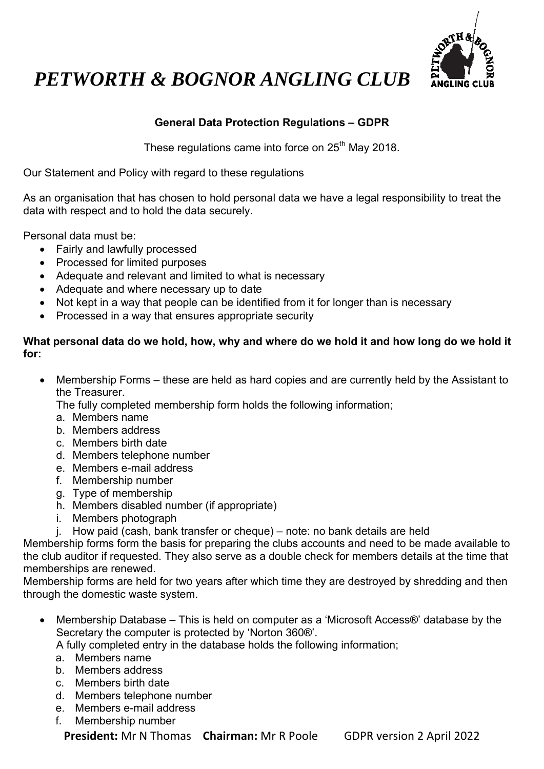

# *PETWORTH & BOGNOR ANGLING CLUB*

## **General Data Protection Regulations – GDPR**

These regulations came into force on 25<sup>th</sup> May 2018.

Our Statement and Policy with regard to these regulations

As an organisation that has chosen to hold personal data we have a legal responsibility to treat the data with respect and to hold the data securely.

Personal data must be:

- Fairly and lawfully processed
- Processed for limited purposes
- Adequate and relevant and limited to what is necessary
- Adequate and where necessary up to date
- Not kept in a way that people can be identified from it for longer than is necessary
- Processed in a way that ensures appropriate security

### **What personal data do we hold, how, why and where do we hold it and how long do we hold it for:**

 Membership Forms – these are held as hard copies and are currently held by the Assistant to the Treasurer.

The fully completed membership form holds the following information;

- a. Members name
- b. Members address
- c. Members birth date
- d. Members telephone number
- e. Members e-mail address
- f. Membership number
- g. Type of membership
- h. Members disabled number (if appropriate)
- i. Members photograph
- j. How paid (cash, bank transfer or cheque) note: no bank details are held

Membership forms form the basis for preparing the clubs accounts and need to be made available to the club auditor if requested. They also serve as a double check for members details at the time that memberships are renewed.

Membership forms are held for two years after which time they are destroyed by shredding and then through the domestic waste system.

■ Membership Database – This is held on computer as a 'Microsoft Access®' database by the Secretary the computer is protected by 'Norton 360®'.

A fully completed entry in the database holds the following information;

- a. Members name
- b. Members address
- c. Members birth date
- d. Members telephone number
- e. Members e-mail address
- f. Membership number

**President:** Mr N Thomas **Chairman:** Mr R Poole GDPR version 2 April 2022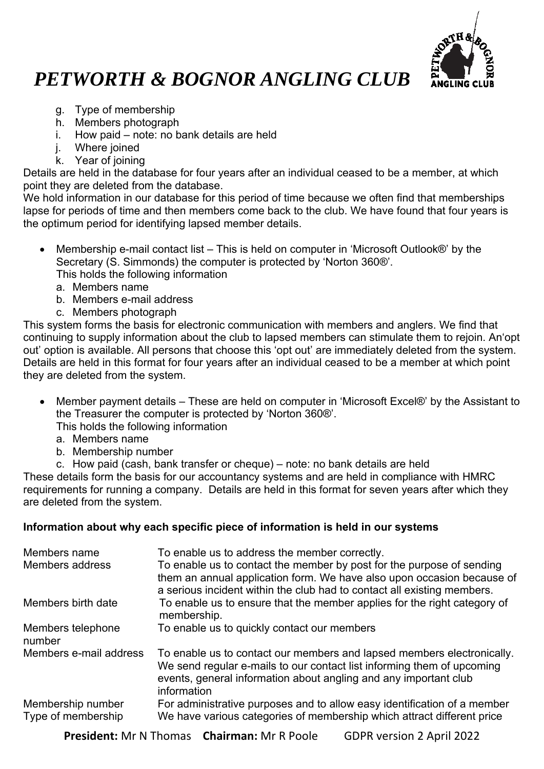

## *PETWORTH & BOGNOR ANGLING CLUB*

- g. Type of membership
- h. Members photograph
- i. How paid note: no bank details are held
- i. Where joined
- k. Year of joining

Details are held in the database for four years after an individual ceased to be a member, at which point they are deleted from the database.

We hold information in our database for this period of time because we often find that memberships lapse for periods of time and then members come back to the club. We have found that four years is the optimum period for identifying lapsed member details.

- Membership e-mail contact list This is held on computer in 'Microsoft Outlook®' by the Secretary (S. Simmonds) the computer is protected by 'Norton 360®'. This holds the following information
	- a. Members name
	- b. Members e-mail address
	- c. Members photograph

This system forms the basis for electronic communication with members and anglers. We find that continuing to supply information about the club to lapsed members can stimulate them to rejoin. An'opt out' option is available. All persons that choose this 'opt out' are immediately deleted from the system. Details are held in this format for four years after an individual ceased to be a member at which point they are deleted from the system.

 Member payment details – These are held on computer in 'Microsoft Excel®' by the Assistant to the Treasurer the computer is protected by 'Norton 360®'.

This holds the following information

- a. Members name
- b. Membership number
- c. How paid (cash, bank transfer or cheque) note: no bank details are held

These details form the basis for our accountancy systems and are held in compliance with HMRC requirements for running a company. Details are held in this format for seven years after which they are deleted from the system.

### **Information about why each specific piece of information is held in our systems**

| Members name<br>Members address         | To enable us to address the member correctly.<br>To enable us to contact the member by post for the purpose of sending<br>them an annual application form. We have also upon occasion because of<br>a serious incident within the club had to contact all existing members. |
|-----------------------------------------|-----------------------------------------------------------------------------------------------------------------------------------------------------------------------------------------------------------------------------------------------------------------------------|
| Members birth date                      | To enable us to ensure that the member applies for the right category of<br>membership.                                                                                                                                                                                     |
| Members telephone<br>number             | To enable us to quickly contact our members                                                                                                                                                                                                                                 |
| Members e-mail address                  | To enable us to contact our members and lapsed members electronically.<br>We send regular e-mails to our contact list informing them of upcoming<br>events, general information about angling and any important club<br>information                                         |
| Membership number<br>Type of membership | For administrative purposes and to allow easy identification of a member<br>We have various categories of membership which attract different price                                                                                                                          |